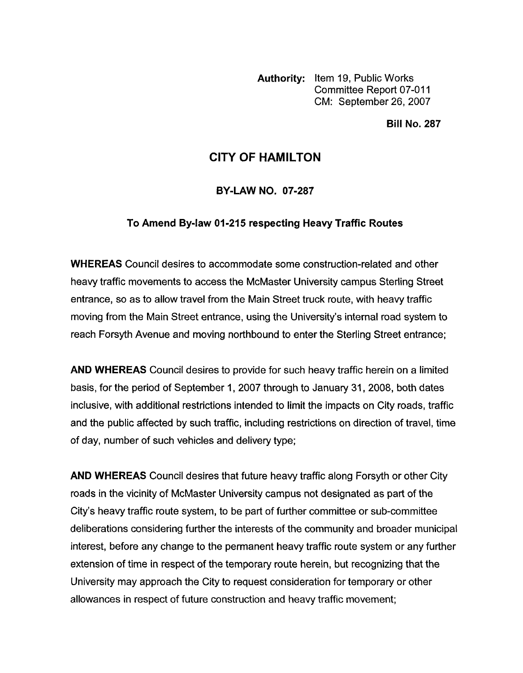**Authority:** Item 19, Public Works Committee Report 07-011 CM: September 26,2007

**Bill No. 287** 

## **CITY OF HAMILTON**

**BY-LAW NO. 07-287** 

## **To Amend Bylaw 01-215 respecting Heavy Traffic Routes**

**WHEREAS** Council desires to accommodate some construction-related and other heavy traffic movements to access the McMaster University campus Sterling Street entrance, so as to allow travel from the Main Street truck route, with heavy traffic moving from the Main Street entrance, using the University's internal road system to reach Forsyth Avenue and moving northbound to enter the Sterling Street entrance;

**AND WHEREAS** Council desires to provide for such heavy traffic herein on a limited basis, for the period of September 1, 2007 through to January 31, 2008, both dates inclusive, with additional restrictions intended to limit the impacts on City roads, traffic and the public affected by such traffic, including restrictions on direction of travel, time of day, number of such vehicles and delivery type;

**AND WHEREAS** Council desires that future heavy traffic along Forsyth or other City roads in the vicinity of McMaster University campus not designated as part of the City's heavy traffic route system, to be part of further committee or sub-committee deliberations considering further the interests of the community and broader municipal interest, before any change to the permanent heavy traffic route system or any further extension of time in respect of the temporary route herein, but recognizing that the University may approach the City to request consideration for temporary or other allowances in respect of future construction and heavy traffic movement;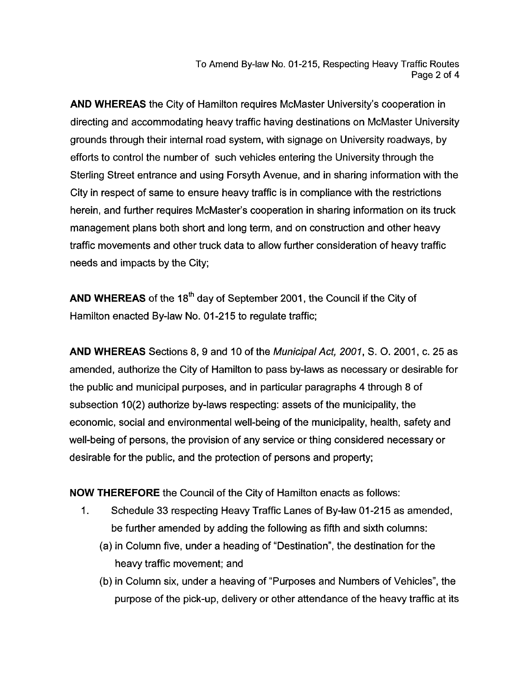To Amend By-law No. 01-215, Respecting Heavy Traffic Routes Page 2 of **4** 

**AND WHEREAS** the City of Hamilton requires McMaster University's cooperation in directing and accommodating heavy traffic having destinations on McMaster University grounds through their internal road system, with signage on University roadways, by efforts to control the number of such vehicles entering the University through the Sterling Street entrance and using Forsyth Avenue, and in sharing information with the City in respect of same to ensure heavy traffic is in compliance with the restrictions herein, and further requires McMaster's cooperation in sharing information on its truck management plans both short and long term, and on construction and other heavy traffic movements and other truck data to allow further consideration of heavy traffic needs and impacts by the City;

**AND WHEREAS** of the **18th** day of September 2001 , the Council if the City of Hamilton enacted By-law No. 01-215 to regulate traffic;

**AND WHEREAS** Sections **8, 9** and 10 of the *Municipal Act,* 2001, *S. 0.* 2001 , c. 25 as amended, authorize the City of Hamilton to pass by-laws as necessary or desirable for the public and municipal purposes, and in particular paragraphs **4** through 8 of subsection 10(2) authorize by-laws respecting: assets of the municipality, the economic, social and environmental well-being of the municipality, health, safety and well-being of persons, the provision of any service or thing considered necessary or desirable for the public, and the protection of persons and property;

**NOW THEREFORE** the Council of the City of Hamilton enacts as follows:

- 1. Schedule 33 respecting Heavy Traffic Lanes of By-law 01-215 as amended, be further amended by adding the following as fifth and sixth columns:
	- (a) in Column five, under a heading of "Destination", the destination for the heavy traffic movement; and
	- (b) in Column six, under a heaving of "Purposes and Numbers of Vehicles", the purpose of the pick-up, delivery or other attendance of the heavy traffic at its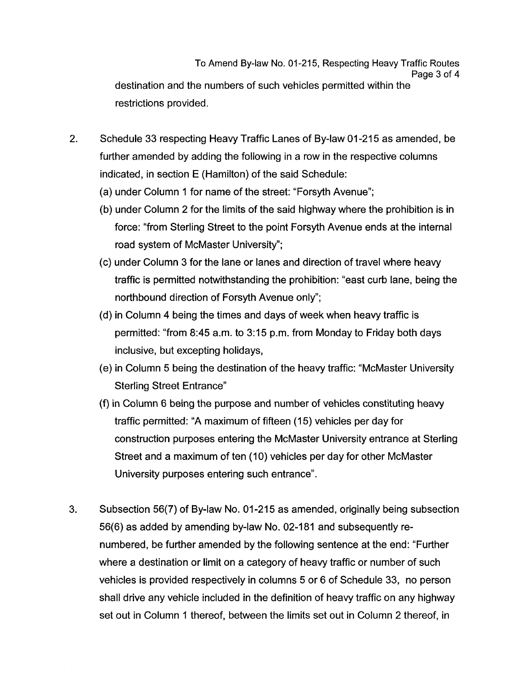To Amend By-law No. 01-215, Respecting Heavy Traffic Routes Page 3 of **4**  destination and the numbers of such vehicles permitted within the restrictions provided.

- 2. Schedule 33 respecting Heavy Traffic Lanes of By-law 01-215 as amended, be further amended by adding the following in a row in the respective columns indicated, in section E (Hamilton) of the said Schedule:
	- (a) under Column 1 for name of the street: "Forsyth Avenue";
	- (b) under Column 2 for the limits of the said highway where the prohibition is in force: "from Sterling Street to the point Forsyth Avenue ends at the internal road system of McMaster University";
	- (c) under Column 3 for the lane or lanes and direction of travel where heavy traffic is permitted notwithstanding the prohibition: "east curb lane, being the northbound direction of Forsyth Avenue only";
	- (d) in Column **4** being the times and days of week when heavy traffic is permitted: "from **8:45** a.m. to 3:15 p.m. from Monday to Friday both days inclusive, but excepting holidays,
	- (e) in Column 5 being the destination of the heavy traffic: "McMaster University Sterling Street Entrance"
	- (f) in Column 6 being the purpose and number of vehicles constituting heavy traffic permitted: "A maximum of fifteen (15) vehicles per day for construction purposes entering the McMaster University entrance at Sterling Street and a maximum of ten (10) vehicles per day for other McMaster University purposes entering such entrance".
- **3.** Subsection 56(7) of By-law No. 01-215 as amended, originally being subsection 56(6) as added by amending by-law No. 02-181 and subsequently renumbered, be further amended by the following sentence at the end: "Further where a destination or limit on a category of heavy traffic or number of such vehicles is provided respectively in columns 5 or 6 of Schedule 33, no person shall drive any vehicle included in the definition of heavy traffic on any highway set out in Column 1 thereof, between the limits set out in Column 2 thereof, in